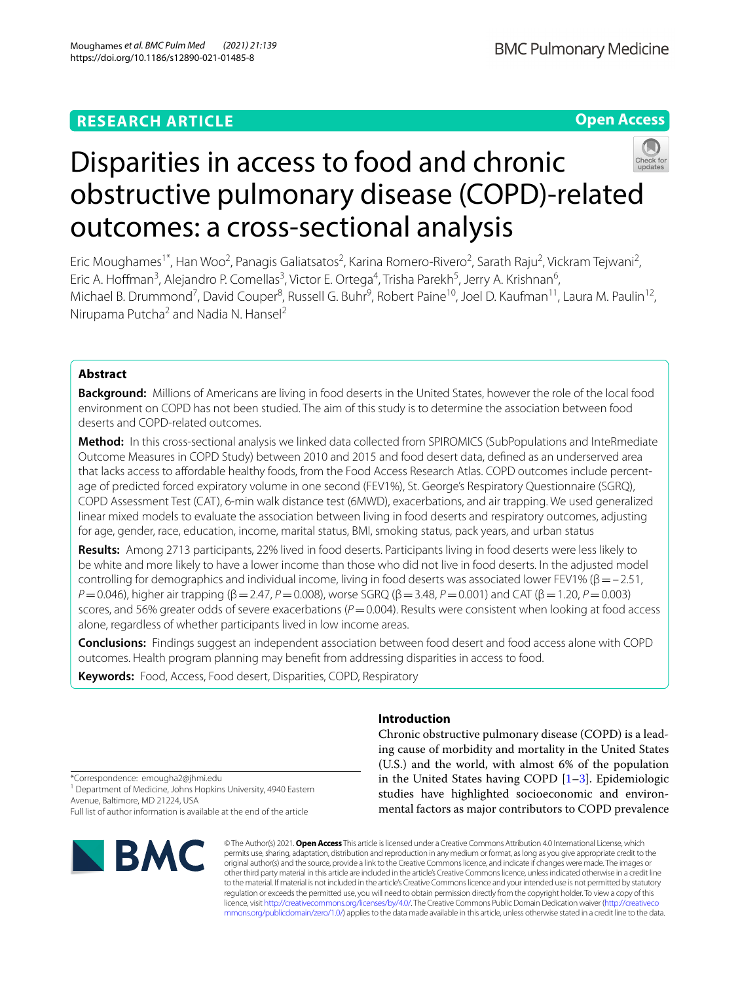# **RESEARCH ARTICLE**

**BMC Pulmonary Medicine** 

# **Open Access**



# Disparities in access to food and chronic obstructive pulmonary disease (COPD)-related outcomes: a cross-sectional analysis

Eric Moughames<sup>1\*</sup>, Han Woo<sup>2</sup>, Panagis Galiatsatos<sup>2</sup>, Karina Romero-Rivero<sup>2</sup>, Sarath Raju<sup>2</sup>, Vickram Tejwani<sup>2</sup>, Eric A. Hoffman<sup>3</sup>, Alejandro P. Comellas<sup>3</sup>, Victor E. Ortega<sup>4</sup>, Trisha Parekh<sup>5</sup>, Jerry A. Krishnan<sup>6</sup>, Michael B. Drummond<sup>7</sup>, David Couper<sup>8</sup>, Russell G. Buhr<sup>9</sup>, Robert Paine<sup>10</sup>, Joel D. Kaufman<sup>11</sup>, Laura M. Paulin<sup>12</sup>, Nirupama Putcha<sup>2</sup> and Nadia N. Hansel<sup>2</sup>

# **Abstract**

**Background:** Millions of Americans are living in food deserts in the United States, however the role of the local food environment on COPD has not been studied. The aim of this study is to determine the association between food deserts and COPD-related outcomes.

**Method:** In this cross-sectional analysis we linked data collected from SPIROMICS (SubPopulations and InteRmediate Outcome Measures in COPD Study) between 2010 and 2015 and food desert data, defned as an underserved area that lacks access to affordable healthy foods, from the Food Access Research Atlas. COPD outcomes include percentage of predicted forced expiratory volume in one second (FEV1%), St. George's Respiratory Questionnaire (SGRQ), COPD Assessment Test (CAT), 6-min walk distance test (6MWD), exacerbations, and air trapping. We used generalized linear mixed models to evaluate the association between living in food deserts and respiratory outcomes, adjusting for age, gender, race, education, income, marital status, BMI, smoking status, pack years, and urban status

**Results:** Among 2713 participants, 22% lived in food deserts. Participants living in food deserts were less likely to be white and more likely to have a lower income than those who did not live in food deserts. In the adjusted model controlling for demographics and individual income, living in food deserts was associated lower FEV1% ( $\beta = -2.51$ , *P*=0.046), higher air trapping (β=2.47, *P*=0.008), worse SGRQ (β=3.48, *P*=0.001) and CAT (β=1.20, *P*=0.003) scores, and 56% greater odds of severe exacerbations ( $P$  = 0.004). Results were consistent when looking at food access alone, regardless of whether participants lived in low income areas.

**Conclusions:** Findings suggest an independent association between food desert and food access alone with COPD outcomes. Health program planning may beneft from addressing disparities in access to food.

**Keywords:** Food, Access, Food desert, Disparities, COPD, Respiratory

# **Introduction**

Chronic obstructive pulmonary disease (COPD) is a leading cause of morbidity and mortality in the United States (U.S.) and the world, with almost 6% of the population in the United States having COPD [\[1](#page-7-0)[–3](#page-7-1)]. Epidemiologic studies have highlighted socioeconomic and environmental factors as major contributors to COPD prevalence

\*Correspondence: emougha2@jhmi.edu <sup>1</sup> Department of Medicine, Johns Hopkins University, 4940 Eastern Avenue, Baltimore, MD 21224, USA Full list of author information is available at the end of the article



© The Author(s) 2021. **Open Access** This article is licensed under a Creative Commons Attribution 4.0 International License, which permits use, sharing, adaptation, distribution and reproduction in any medium or format, as long as you give appropriate credit to the original author(s) and the source, provide a link to the Creative Commons licence, and indicate if changes were made. The images or other third party material in this article are included in the article's Creative Commons licence, unless indicated otherwise in a credit line to the material. If material is not included in the article's Creative Commons licence and your intended use is not permitted by statutory regulation or exceeds the permitted use, you will need to obtain permission directly from the copyright holder. To view a copy of this licence, visit [http://creativecommons.org/licenses/by/4.0/.](http://creativecommons.org/licenses/by/4.0/) The Creative Commons Public Domain Dedication waiver ([http://creativeco](http://creativecommons.org/publicdomain/zero/1.0/) [mmons.org/publicdomain/zero/1.0/](http://creativecommons.org/publicdomain/zero/1.0/)) applies to the data made available in this article, unless otherwise stated in a credit line to the data.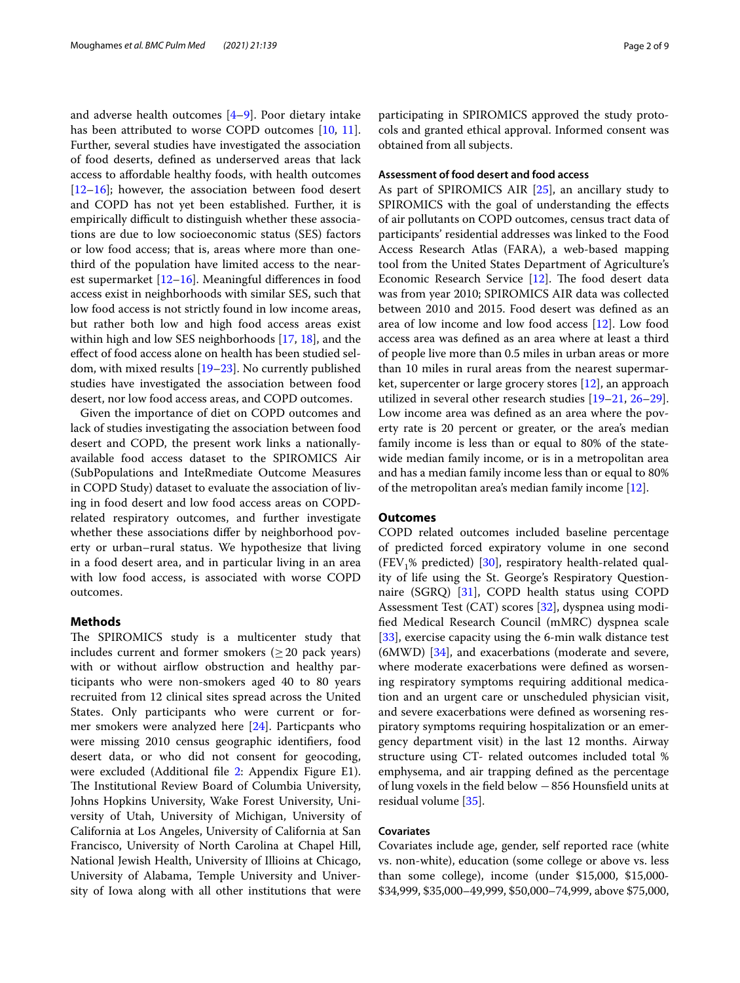and adverse health outcomes [\[4](#page-7-2)[–9](#page-7-3)]. Poor dietary intake has been attributed to worse COPD outcomes [[10](#page-7-4), [11](#page-7-5)]. Further, several studies have investigated the association of food deserts, defned as underserved areas that lack access to affordable healthy foods, with health outcomes  $[12–16]$  $[12–16]$  $[12–16]$  $[12–16]$ ; however, the association between food desert and COPD has not yet been established. Further, it is empirically difficult to distinguish whether these associations are due to low socioeconomic status (SES) factors or low food access; that is, areas where more than onethird of the population have limited access to the nearest supermarket [\[12](#page-7-6)–[16\]](#page-7-7). Meaningful diferences in food access exist in neighborhoods with similar SES, such that low food access is not strictly found in low income areas, but rather both low and high food access areas exist within high and low SES neighborhoods [\[17](#page-7-8), [18\]](#page-7-9), and the efect of food access alone on health has been studied seldom, with mixed results [[19–](#page-7-10)[23](#page-7-11)]. No currently published studies have investigated the association between food desert, nor low food access areas, and COPD outcomes.

Given the importance of diet on COPD outcomes and lack of studies investigating the association between food desert and COPD, the present work links a nationallyavailable food access dataset to the SPIROMICS Air (SubPopulations and InteRmediate Outcome Measures in COPD Study) dataset to evaluate the association of living in food desert and low food access areas on COPDrelated respiratory outcomes, and further investigate whether these associations differ by neighborhood poverty or urban–rural status. We hypothesize that living in a food desert area, and in particular living in an area with low food access, is associated with worse COPD outcomes.

# **Methods**

The SPIROMICS study is a multicenter study that includes current and former smokers ( $\geq$  20 pack years) with or without airflow obstruction and healthy participants who were non-smokers aged 40 to 80 years recruited from 12 clinical sites spread across the United States. Only participants who were current or former smokers were analyzed here [\[24](#page-7-12)]. Particpants who were missing 2010 census geographic identifers, food desert data, or who did not consent for geocoding, were excluded (Additional fle [2:](#page-6-0) Appendix Figure E1). The Institutional Review Board of Columbia University, Johns Hopkins University, Wake Forest University, University of Utah, University of Michigan, University of California at Los Angeles, University of California at San Francisco, University of North Carolina at Chapel Hill, National Jewish Health, University of Illioins at Chicago, University of Alabama, Temple University and University of Iowa along with all other institutions that were participating in SPIROMICS approved the study protocols and granted ethical approval. Informed consent was obtained from all subjects.

# **Assessment of food desert and food access**

As part of SPIROMICS AIR [[25\]](#page-7-13), an ancillary study to SPIROMICS with the goal of understanding the efects of air pollutants on COPD outcomes, census tract data of participants' residential addresses was linked to the Food Access Research Atlas (FARA), a web-based mapping tool from the United States Department of Agriculture's Economic Research Service  $[12]$  $[12]$ . The food desert data was from year 2010; SPIROMICS AIR data was collected between 2010 and 2015. Food desert was defned as an area of low income and low food access [[12\]](#page-7-6). Low food access area was defned as an area where at least a third of people live more than 0.5 miles in urban areas or more than 10 miles in rural areas from the nearest supermarket, supercenter or large grocery stores [\[12](#page-7-6)], an approach utilized in several other research studies [[19–](#page-7-10)[21,](#page-7-14) [26](#page-7-15)[–29](#page-8-0)]. Low income area was defned as an area where the poverty rate is 20 percent or greater, or the area's median family income is less than or equal to 80% of the statewide median family income, or is in a metropolitan area and has a median family income less than or equal to 80% of the metropolitan area's median family income [\[12](#page-7-6)].

#### **Outcomes**

COPD related outcomes included baseline percentage of predicted forced expiratory volume in one second (FEV<sub>1</sub>% predicted) [[30](#page-8-1)], respiratory health-related quality of life using the St. George's Respiratory Questionnaire (SGRQ) [\[31](#page-8-2)], COPD health status using COPD Assessment Test (CAT) scores [\[32](#page-8-3)], dyspnea using modifed Medical Research Council (mMRC) dyspnea scale [[33\]](#page-8-4), exercise capacity using the 6-min walk distance test (6MWD) [\[34](#page-8-5)], and exacerbations (moderate and severe, where moderate exacerbations were defned as worsening respiratory symptoms requiring additional medication and an urgent care or unscheduled physician visit, and severe exacerbations were defned as worsening respiratory symptoms requiring hospitalization or an emergency department visit) in the last 12 months. Airway structure using CT- related outcomes included total % emphysema, and air trapping defned as the percentage of lung voxels in the feld below −856 Hounsfeld units at residual volume [\[35\]](#page-8-6).

# **Covariates**

Covariates include age, gender, self reported race (white vs. non-white), education (some college or above vs. less than some college), income (under \$15,000, \$15,000- \$34,999, \$35,000–49,999, \$50,000–74,999, above \$75,000,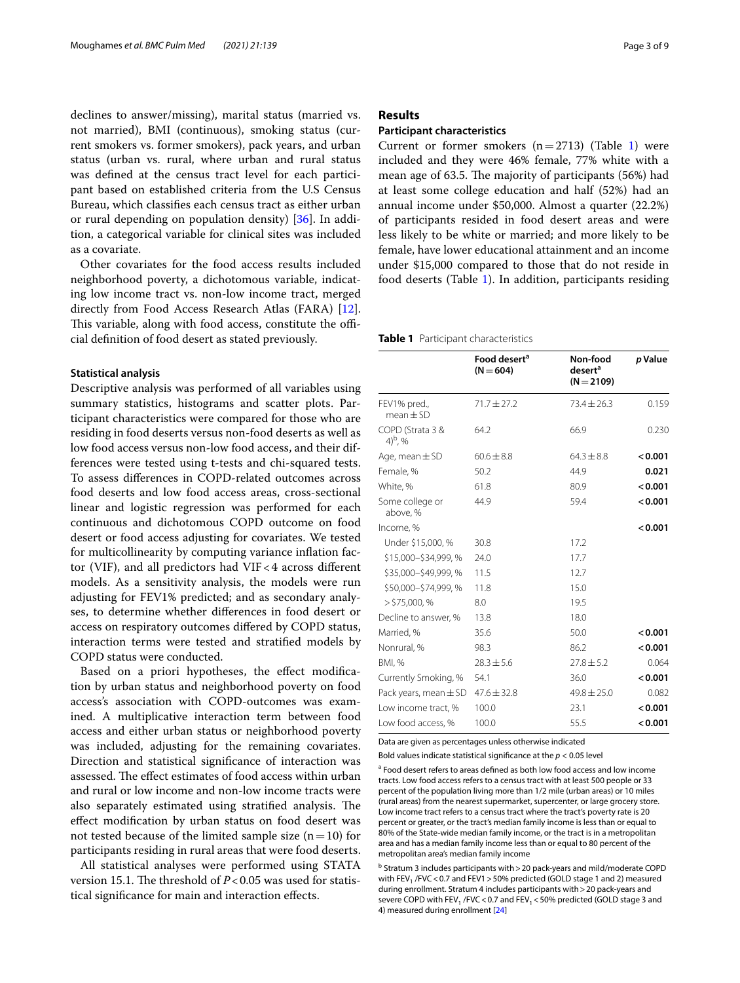declines to answer/missing), marital status (married vs. not married), BMI (continuous), smoking status (current smokers vs. former smokers), pack years, and urban status (urban vs. rural, where urban and rural status was defned at the census tract level for each participant based on established criteria from the U.S Census Bureau, which classifes each census tract as either urban or rural depending on population density) [[36\]](#page-8-7). In addition, a categorical variable for clinical sites was included as a covariate.

Other covariates for the food access results included neighborhood poverty, a dichotomous variable, indicating low income tract vs. non-low income tract, merged directly from Food Access Research Atlas (FARA) [\[12](#page-7-6)]. This variable, along with food access, constitute the official defnition of food desert as stated previously.

#### **Statistical analysis**

Descriptive analysis was performed of all variables using summary statistics, histograms and scatter plots. Participant characteristics were compared for those who are residing in food deserts versus non-food deserts as well as low food access versus non-low food access, and their differences were tested using t-tests and chi-squared tests. To assess diferences in COPD-related outcomes across food deserts and low food access areas, cross-sectional linear and logistic regression was performed for each continuous and dichotomous COPD outcome on food desert or food access adjusting for covariates. We tested for multicollinearity by computing variance infation factor (VIF), and all predictors had VIF < 4 across different models. As a sensitivity analysis, the models were run adjusting for FEV1% predicted; and as secondary analyses, to determine whether diferences in food desert or access on respiratory outcomes difered by COPD status, interaction terms were tested and stratifed models by COPD status were conducted.

Based on a priori hypotheses, the effect modification by urban status and neighborhood poverty on food access's association with COPD-outcomes was examined. A multiplicative interaction term between food access and either urban status or neighborhood poverty was included, adjusting for the remaining covariates. Direction and statistical signifcance of interaction was assessed. The effect estimates of food access within urban and rural or low income and non-low income tracts were also separately estimated using stratified analysis. The efect modifcation by urban status on food desert was not tested because of the limited sample size  $(n=10)$  for participants residing in rural areas that were food deserts.

All statistical analyses were performed using STATA version 15.1. The threshold of  $P < 0.05$  was used for statistical signifcance for main and interaction efects.

## **Results**

## **Participant characteristics**

Current or former smokers  $(n=2713)$  (Table [1\)](#page-2-0) were included and they were 46% female, 77% white with a mean age of 63.5. The majority of participants  $(56%)$  had at least some college education and half (52%) had an annual income under \$50,000. Almost a quarter (22.2%) of participants resided in food desert areas and were less likely to be white or married; and more likely to be female, have lower educational attainment and an income under \$15,000 compared to those that do not reside in food deserts (Table [1](#page-2-0)). In addition, participants residing

<span id="page-2-0"></span>**Table 1** Participant characteristics

|                                 | Food desert <sup>a</sup><br>$(N = 604)$ | Non-food<br>desert <sup>a</sup><br>$(N = 2109)$ | p Value |
|---------------------------------|-----------------------------------------|-------------------------------------------------|---------|
| FEV1% pred.,<br>$mean + SD$     | $71.7 \pm 27.2$                         | $73.4 \pm 26.3$                                 | 0.159   |
| COPD (Strata 3 &<br>$(4)^b$ , % | 64.2                                    | 66.9                                            | 0.230   |
| Age, mean $\pm$ SD              | $60.6 \pm 8.8$                          | $64.3 \pm 8.8$                                  | 0.001   |
| Female, %                       | 50.2                                    | 44.9                                            | 0.021   |
| White, %                        | 61.8                                    | 80.9                                            | < 0.001 |
| Some college or<br>above, %     | 44.9                                    | 59.4                                            | < 0.001 |
| Income, %                       |                                         |                                                 | < 0.001 |
| Under \$15,000, %               | 30.8                                    | 17.2                                            |         |
| \$15,000-\$34,999,%             | 24.0                                    | 17.7                                            |         |
| \$35,000-\$49,999,%             | 11.5                                    | 12.7                                            |         |
| \$50,000-\$74,999,%             | 11.8                                    | 15.0                                            |         |
| $>$ \$75,000, %                 | 8.0                                     | 19.5                                            |         |
| Decline to answer, %            | 13.8                                    | 18.0                                            |         |
| Married, %                      | 35.6                                    | 50.0                                            | 0.001   |
| Nonrural, %                     | 98.3                                    | 86.2                                            | < 0.001 |
| <b>BMI, %</b>                   | $28.3 \pm 5.6$                          | $27.8 \pm 5.2$                                  | 0.064   |
| Currently Smoking, %            | 54.1                                    | 36.0                                            | < 0.001 |
| Pack years, mean $\pm$ SD       | $47.6 \pm 32.8$                         | $49.8 \pm 25.0$                                 | 0.082   |
| Low income tract, %             | 100.0                                   | 23.1                                            | < 0.001 |
| Low food access, %              | 100.0                                   | 55.5                                            | < 0.001 |

Data are given as percentages unless otherwise indicated

Bold values indicate statistical signifcance at the *p* < 0.05 level

<sup>a</sup> Food desert refers to areas defined as both low food access and low income tracts. Low food access refers to a census tract with at least 500 people or 33 percent of the population living more than 1/2 mile (urban areas) or 10 miles (rural areas) from the nearest supermarket, supercenter, or large grocery store. Low income tract refers to a census tract where the tract's poverty rate is 20 percent or greater, or the tract's median family income is less than or equal to 80% of the State-wide median family income, or the tract is in a metropolitan area and has a median family income less than or equal to 80 percent of the metropolitan area's median family income

<sup>b</sup> Stratum 3 includes participants with > 20 pack-years and mild/moderate COPD with FEV, /FVC < 0.7 and FEV1 > 50% predicted (GOLD stage 1 and 2) measured during enrollment. Stratum 4 includes participants with>20 pack-years and severe COPD with FEV<sub>1</sub> /FVC < 0.7 and FEV<sub>1</sub> < 50% predicted (GOLD stage 3 and 4) measured during enrollment [\[24](#page-7-12)]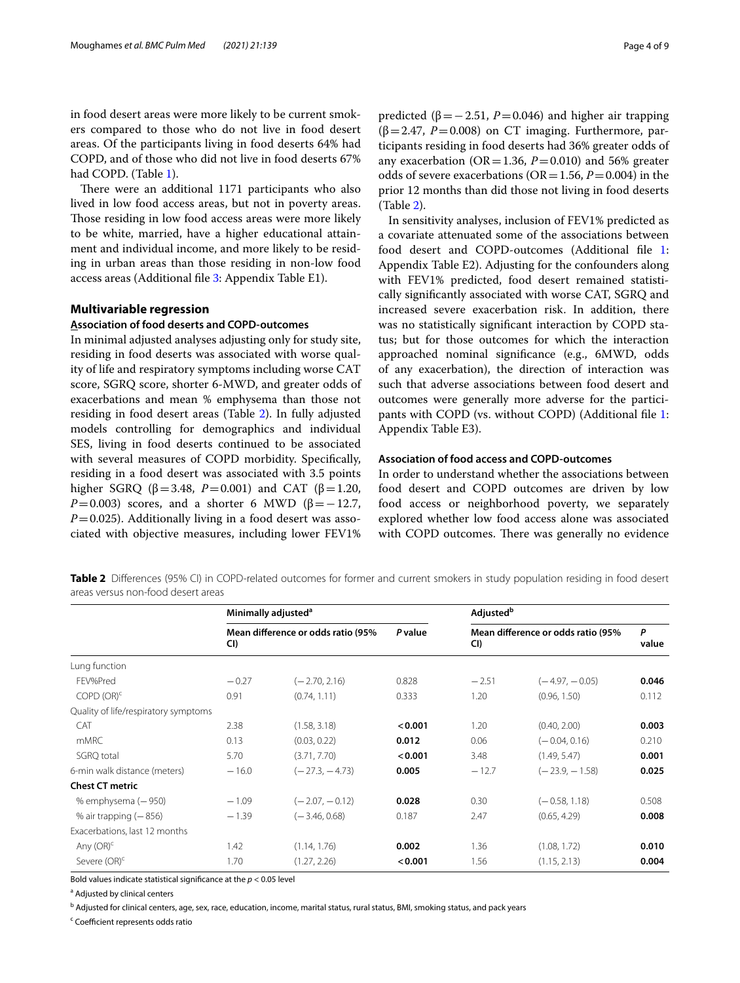in food desert areas were more likely to be current smokers compared to those who do not live in food desert areas. Of the participants living in food deserts 64% had COPD, and of those who did not live in food deserts 67% had COPD. (Table [1](#page-2-0)).

There were an additional 1171 participants who also lived in low food access areas, but not in poverty areas. Those residing in low food access areas were more likely to be white, married, have a higher educational attainment and individual income, and more likely to be residing in urban areas than those residing in non-low food access areas (Additional fle [3](#page-6-1): Appendix Table E1).

# **Multivariable regression**

# **Association of food deserts and COPD-outcomes**

In minimal adjusted analyses adjusting only for study site, residing in food deserts was associated with worse quality of life and respiratory symptoms including worse CAT score, SGRQ score, shorter 6-MWD, and greater odds of exacerbations and mean % emphysema than those not residing in food desert areas (Table [2\)](#page-3-0). In fully adjusted models controlling for demographics and individual SES, living in food deserts continued to be associated with several measures of COPD morbidity. Specifcally, residing in a food desert was associated with 3.5 points higher SGRQ (β=3.48, *P*=0.001) and CAT (β=1.20, *P*=0.003) scores, and a shorter 6 MWD ( $\beta$ =−12.7,  $P=0.025$ ). Additionally living in a food desert was associated with objective measures, including lower FEV1%

predicted ( $β = 2.51$ ,  $P = 0.046$ ) and higher air trapping ( $\beta$ =2.47, *P*=0.008) on CT imaging. Furthermore, participants residing in food deserts had 36% greater odds of any exacerbation ( $OR = 1.36$ ,  $P = 0.010$ ) and 56% greater odds of severe exacerbations ( $OR = 1.56$ ,  $P = 0.004$ ) in the prior 12 months than did those not living in food deserts (Table [2\)](#page-3-0).

In sensitivity analyses, inclusion of FEV1% predicted as a covariate attenuated some of the associations between food desert and COPD-outcomes (Additional fle [1](#page-6-2): Appendix Table E2). Adjusting for the confounders along with FEV1% predicted, food desert remained statistically signifcantly associated with worse CAT, SGRQ and increased severe exacerbation risk. In addition, there was no statistically signifcant interaction by COPD status; but for those outcomes for which the interaction approached nominal signifcance (e.g., 6MWD, odds of any exacerbation), the direction of interaction was such that adverse associations between food desert and outcomes were generally more adverse for the participants with COPD (vs. without COPD) (Additional fle [1](#page-6-2): Appendix Table E3).

# **Association of food access and COPD-outcomes**

In order to understand whether the associations between food desert and COPD outcomes are driven by low food access or neighborhood poverty, we separately explored whether low food access alone was associated with COPD outcomes. There was generally no evidence

<span id="page-3-0"></span>**Table 2** Diferences (95% CI) in COPD-related outcomes for former and current smokers in study population residing in food desert areas versus non-food desert areas

|                                      |         | Minimally adjusted <sup>a</sup>    |         |         | Adjusted <sup>b</sup>              |            |  |  |
|--------------------------------------|---------|------------------------------------|---------|---------|------------------------------------|------------|--|--|
|                                      | CI)     | Mean difference or odds ratio (95% | P value | CI)     | Mean difference or odds ratio (95% | P<br>value |  |  |
| Lung function                        |         |                                    |         |         |                                    |            |  |  |
| FEV%Pred                             | $-0.27$ | $(-2.70, 2.16)$                    | 0.828   | $-2.51$ | $(-4.97, -0.05)$                   | 0.046      |  |  |
| COPD (OR) <sup>c</sup>               | 0.91    | (0.74, 1.11)                       | 0.333   | 1.20    | (0.96, 1.50)                       | 0.112      |  |  |
| Quality of life/respiratory symptoms |         |                                    |         |         |                                    |            |  |  |
| <b>CAT</b>                           | 2.38    | (1.58, 3.18)                       | < 0.001 | 1.20    | (0.40, 2.00)                       | 0.003      |  |  |
| <b>mMRC</b>                          | 0.13    | (0.03, 0.22)                       | 0.012   | 0.06    | $(-0.04, 0.16)$                    | 0.210      |  |  |
| SGRQ total                           | 5.70    | (3.71, 7.70)                       | < 0.001 | 3.48    | (1.49, 5.47)                       | 0.001      |  |  |
| 6-min walk distance (meters)         | $-16.0$ | $(-27.3, -4.73)$                   | 0.005   | $-12.7$ | $(-23.9, -1.58)$                   | 0.025      |  |  |
| <b>Chest CT metric</b>               |         |                                    |         |         |                                    |            |  |  |
| % emphysema (-950)                   | $-1.09$ | $(-2.07, -0.12)$                   | 0.028   | 0.30    | $(-0.58, 1.18)$                    | 0.508      |  |  |
| % air trapping $(-856)$              | $-1.39$ | $(-3.46, 0.68)$                    | 0.187   | 2.47    | (0.65, 4.29)                       | 0.008      |  |  |
| Exacerbations, last 12 months        |         |                                    |         |         |                                    |            |  |  |
| Any $(OR)^c$                         | 1.42    | (1.14, 1.76)                       | 0.002   | 1.36    | (1.08, 1.72)                       | 0.010      |  |  |
| Severe (OR) <sup>c</sup>             | 1.70    | (1.27, 2.26)                       | < 0.001 | 1.56    | (1.15, 2.13)                       | 0.004      |  |  |

Bold values indicate statistical signifcance at the *p* < 0.05 level

<sup>a</sup> Adjusted by clinical centers

<sup>b</sup> Adjusted for clinical centers, age, sex, race, education, income, marital status, rural status, BMI, smoking status, and pack years

<sup>c</sup> Coefficient represents odds ratio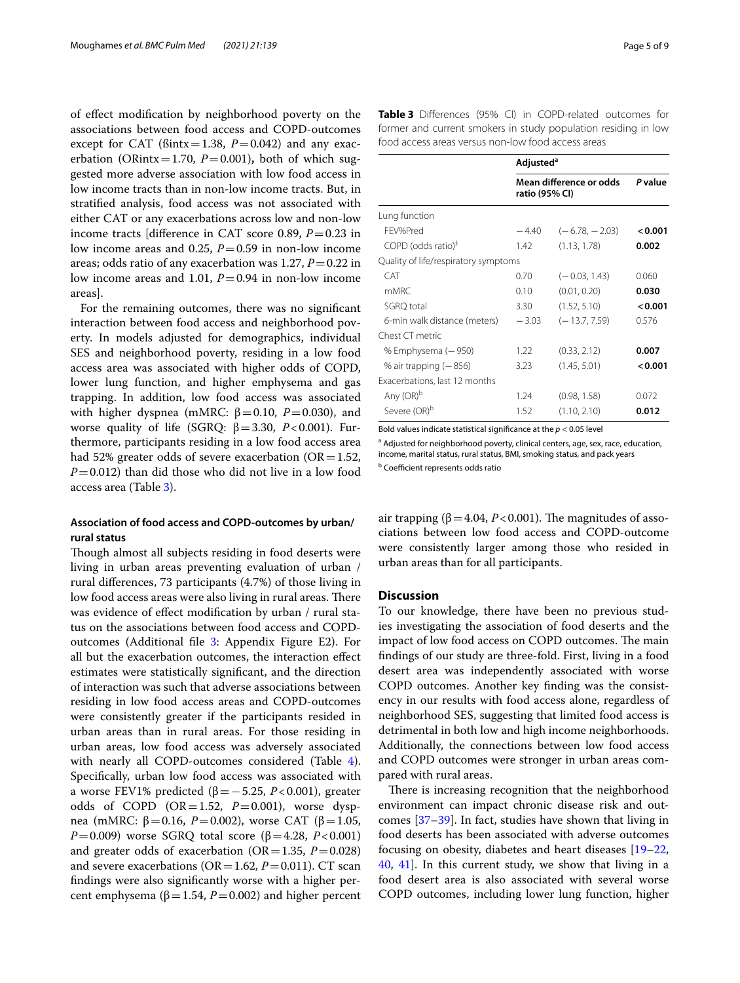of efect modifcation by neighborhood poverty on the associations between food access and COPD-outcomes except for CAT ( $\beta$ intx=1.38, *P*=0.042) and any exacerbation (ORintx=1.70,  $P=0.001$ ), both of which suggested more adverse association with low food access in low income tracts than in non-low income tracts. But, in stratifed analysis, food access was not associated with either CAT or any exacerbations across low and non-low income tracts [diference in CAT score 0.89, *P*=0.23 in low income areas and 0.25,  $P = 0.59$  in non-low income areas; odds ratio of any exacerbation was 1.27, *P*=0.22 in low income areas and 1.01, *P*=0.94 in non-low income areas].

For the remaining outcomes, there was no signifcant interaction between food access and neighborhood poverty. In models adjusted for demographics, individual SES and neighborhood poverty, residing in a low food access area was associated with higher odds of COPD, lower lung function, and higher emphysema and gas trapping. In addition, low food access was associated with higher dyspnea (mMRC:  $β = 0.10$ ,  $P = 0.030$ ), and worse quality of life (SGRQ:  $β = 3.30, P < 0.001$ ). Furthermore, participants residing in a low food access area had 52% greater odds of severe exacerbation ( $OR=1.52$ ,  $P=0.012$ ) than did those who did not live in a low food access area (Table [3\)](#page-4-0).

# **Association of food access and COPD-outcomes by urban/ rural status**

Though almost all subjects residing in food deserts were living in urban areas preventing evaluation of urban / rural diferences, 73 participants (4.7%) of those living in low food access areas were also living in rural areas. There was evidence of efect modifcation by urban / rural status on the associations between food access and COPDoutcomes (Additional fle [3](#page-6-1): Appendix Figure E2). For all but the exacerbation outcomes, the interaction efect estimates were statistically signifcant, and the direction of interaction was such that adverse associations between residing in low food access areas and COPD-outcomes were consistently greater if the participants resided in urban areas than in rural areas. For those residing in urban areas, low food access was adversely associated with nearly all COPD-outcomes considered (Table [4](#page-5-0)). Specifcally, urban low food access was associated with a worse FEV1% predicted (β=−5.25, *P*<0.001), greater odds of COPD (OR=1.52, *P*=0.001), worse dyspnea (mMRC: β=0.16, *P*=0.002), worse CAT (β=1.05, *P*=0.009) worse SGRQ total score (β=4.28, *P*<0.001) and greater odds of exacerbation ( $OR = 1.35$ ,  $P = 0.028$ ) and severe exacerbations ( $OR = 1.62$ ,  $P = 0.011$ ). CT scan fndings were also signifcantly worse with a higher percent emphysema ( $β=1.54$ ,  $P=0.002$ ) and higher percent

<span id="page-4-0"></span>

|                                               | Adjusted <sup>a</sup>                     |                  |         |  |  |  |  |
|-----------------------------------------------|-------------------------------------------|------------------|---------|--|--|--|--|
|                                               | Mean difference or odds<br>ratio (95% CI) | P value          |         |  |  |  |  |
| Lung function                                 |                                           |                  |         |  |  |  |  |
| FFV%Pred                                      | $-4.40$                                   | $(-6.78, -2.03)$ | < 0.001 |  |  |  |  |
| $COPD$ (odds ratio) <sup><math>#</math></sup> | 1.42                                      | (1.13, 1.78)     | 0.002   |  |  |  |  |
| Quality of life/respiratory symptoms          |                                           |                  |         |  |  |  |  |
| <b>CAT</b>                                    | 0.70                                      | $(-0.03, 1.43)$  | 0.060   |  |  |  |  |
| mMRC                                          | 0.10                                      | (0.01, 0.20)     | 0.030   |  |  |  |  |
| SGRO total                                    | 3.30                                      | (1.52, 5.10)     | 0.001   |  |  |  |  |
| 6-min walk distance (meters)                  | $-3.03$                                   | $(-13.7, 7.59)$  | 0.576   |  |  |  |  |
| Chest CT metric                               |                                           |                  |         |  |  |  |  |
| % Emphysema (-950)                            | 1.22                                      | (0.33, 2.12)     | 0.007   |  |  |  |  |
| % air trapping $(-856)$                       | 3.23                                      | (1.45, 5.01)     | < 0.001 |  |  |  |  |
| Exacerbations, last 12 months                 |                                           |                  |         |  |  |  |  |
| Any (OR) <sup>b</sup>                         | 1.24                                      | (0.98, 1.58)     | 0.072   |  |  |  |  |
| Severe (OR) <sup>b</sup>                      | 1.52                                      | (1.10, 2.10)     | 0.012   |  |  |  |  |

Bold values indicate statistical signifcance at the *p* < 0.05 level

<sup>a</sup> Adjusted for neighborhood poverty, clinical centers, age, sex, race, education, income, marital status, rural status, BMI, smoking status, and pack years

**b** Coefficient represents odds ratio

air trapping ( $\beta$  = 4.04, *P* < 0.001). The magnitudes of associations between low food access and COPD-outcome were consistently larger among those who resided in urban areas than for all participants.

# **Discussion**

To our knowledge, there have been no previous studies investigating the association of food deserts and the impact of low food access on COPD outcomes. The main fndings of our study are three-fold. First, living in a food desert area was independently associated with worse COPD outcomes. Another key fnding was the consistency in our results with food access alone, regardless of neighborhood SES, suggesting that limited food access is detrimental in both low and high income neighborhoods. Additionally, the connections between low food access and COPD outcomes were stronger in urban areas compared with rural areas.

There is increasing recognition that the neighborhood environment can impact chronic disease risk and outcomes [[37–](#page-8-8)[39](#page-8-9)]. In fact, studies have shown that living in food deserts has been associated with adverse outcomes focusing on obesity, diabetes and heart diseases [[19–](#page-7-10)[22](#page-7-16), [40,](#page-8-10) [41\]](#page-8-11). In this current study, we show that living in a food desert area is also associated with several worse COPD outcomes, including lower lung function, higher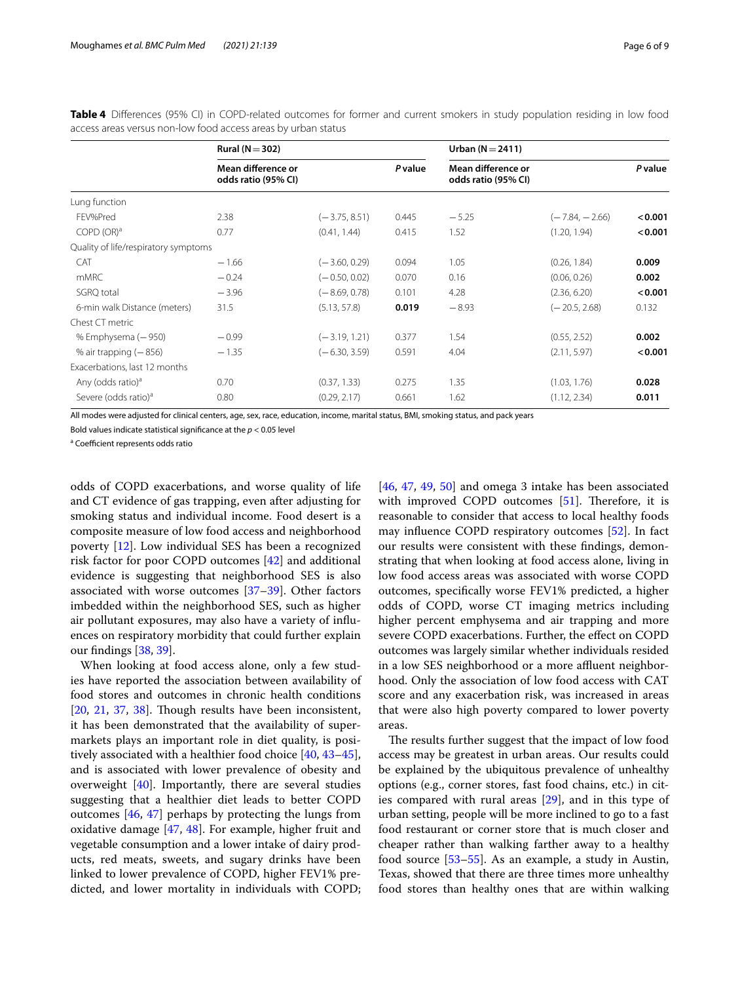|                                      | Rural ( $N = 302$ )                       |                 |                | Urban ( $N = 2411$ )                      |                  |         |
|--------------------------------------|-------------------------------------------|-----------------|----------------|-------------------------------------------|------------------|---------|
|                                      | Mean difference or<br>odds ratio (95% CI) |                 | <b>P</b> value | Mean difference or<br>odds ratio (95% CI) |                  | P value |
| Lung function                        |                                           |                 |                |                                           |                  |         |
| FEV%Pred                             | 2.38                                      | $(-3.75, 8.51)$ | 0.445          | $-5.25$                                   | $(-7.84, -2.66)$ | < 0.001 |
| COPD (OR) <sup>a</sup>               | 0.77                                      | (0.41, 1.44)    | 0.415          | 1.52                                      | (1.20, 1.94)     | < 0.001 |
| Quality of life/respiratory symptoms |                                           |                 |                |                                           |                  |         |
| CAT                                  | $-1.66$                                   | $(-3.60, 0.29)$ | 0.094          | 1.05                                      | (0.26, 1.84)     | 0.009   |
| <b>mMRC</b>                          | $-0.24$                                   | $(-0.50, 0.02)$ | 0.070          | 0.16                                      | (0.06, 0.26)     | 0.002   |
| SGRQ total                           | $-3.96$                                   | $(-8.69, 0.78)$ | 0.101          | 4.28                                      | (2.36, 6.20)     | < 0.001 |
| 6-min walk Distance (meters)         | 31.5                                      | (5.13, 57.8)    | 0.019          | $-8.93$                                   | $(-20.5, 2.68)$  | 0.132   |
| Chest CT metric                      |                                           |                 |                |                                           |                  |         |
| % Emphysema (-950)                   | $-0.99$                                   | $(-3.19, 1.21)$ | 0.377          | 1.54                                      | (0.55, 2.52)     | 0.002   |
| % air trapping $(-856)$              | $-1.35$                                   | $(-6.30, 3.59)$ | 0.591          | 4.04                                      | (2.11, 5.97)     | < 0.001 |
| Exacerbations, last 12 months        |                                           |                 |                |                                           |                  |         |
| Any (odds ratio) <sup>a</sup>        | 0.70                                      | (0.37, 1.33)    | 0.275          | 1.35                                      | (1.03, 1.76)     | 0.028   |
| Severe (odds ratio) <sup>a</sup>     | 0.80                                      | (0.29, 2.17)    | 0.661          | 1.62                                      | (1.12, 2.34)     | 0.011   |
|                                      |                                           |                 |                |                                           |                  |         |

<span id="page-5-0"></span>**Table 4** Diferences (95% CI) in COPD-related outcomes for former and current smokers in study population residing in low food access areas versus non-low food access areas by urban status

All modes were adjusted for clinical centers, age, sex, race, education, income, marital status, BMI, smoking status, and pack years

Bold values indicate statistical signifcance at the *p* < 0.05 level

<sup>a</sup> Coefficient represents odds ratio

odds of COPD exacerbations, and worse quality of life and CT evidence of gas trapping, even after adjusting for smoking status and individual income. Food desert is a composite measure of low food access and neighborhood poverty [\[12](#page-7-6)]. Low individual SES has been a recognized risk factor for poor COPD outcomes [\[42](#page-8-12)] and additional evidence is suggesting that neighborhood SES is also associated with worse outcomes [\[37](#page-8-8)[–39](#page-8-9)]. Other factors imbedded within the neighborhood SES, such as higher air pollutant exposures, may also have a variety of infuences on respiratory morbidity that could further explain our fndings [[38](#page-8-13), [39\]](#page-8-9).

When looking at food access alone, only a few studies have reported the association between availability of food stores and outcomes in chronic health conditions  $[20, 21, 37, 38]$  $[20, 21, 37, 38]$  $[20, 21, 37, 38]$  $[20, 21, 37, 38]$  $[20, 21, 37, 38]$  $[20, 21, 37, 38]$  $[20, 21, 37, 38]$  $[20, 21, 37, 38]$  $[20, 21, 37, 38]$ . Though results have been inconsistent, it has been demonstrated that the availability of supermarkets plays an important role in diet quality, is positively associated with a healthier food choice [\[40,](#page-8-10) [43](#page-8-14)[–45](#page-8-15)], and is associated with lower prevalence of obesity and overweight [\[40](#page-8-10)]. Importantly, there are several studies suggesting that a healthier diet leads to better COPD outcomes [[46,](#page-8-16) [47](#page-8-17)] perhaps by protecting the lungs from oxidative damage [[47,](#page-8-17) [48\]](#page-8-18). For example, higher fruit and vegetable consumption and a lower intake of dairy products, red meats, sweets, and sugary drinks have been linked to lower prevalence of COPD, higher FEV1% predicted, and lower mortality in individuals with COPD; [[46,](#page-8-16) [47](#page-8-17), [49,](#page-8-19) [50](#page-8-20)] and omega 3 intake has been associated with improved COPD outcomes  $[51]$  $[51]$ . Therefore, it is reasonable to consider that access to local healthy foods may infuence COPD respiratory outcomes [\[52](#page-8-22)]. In fact our results were consistent with these fndings, demonstrating that when looking at food access alone, living in low food access areas was associated with worse COPD outcomes, specifcally worse FEV1% predicted, a higher odds of COPD, worse CT imaging metrics including higher percent emphysema and air trapping and more severe COPD exacerbations. Further, the effect on COPD outcomes was largely similar whether individuals resided in a low SES neighborhood or a more affluent neighborhood. Only the association of low food access with CAT score and any exacerbation risk, was increased in areas that were also high poverty compared to lower poverty areas.

The results further suggest that the impact of low food access may be greatest in urban areas. Our results could be explained by the ubiquitous prevalence of unhealthy options (e.g., corner stores, fast food chains, etc.) in cities compared with rural areas [\[29\]](#page-8-0), and in this type of urban setting, people will be more inclined to go to a fast food restaurant or corner store that is much closer and cheaper rather than walking farther away to a healthy food source [[53–](#page-8-23)[55](#page-8-24)]. As an example, a study in Austin, Texas, showed that there are three times more unhealthy food stores than healthy ones that are within walking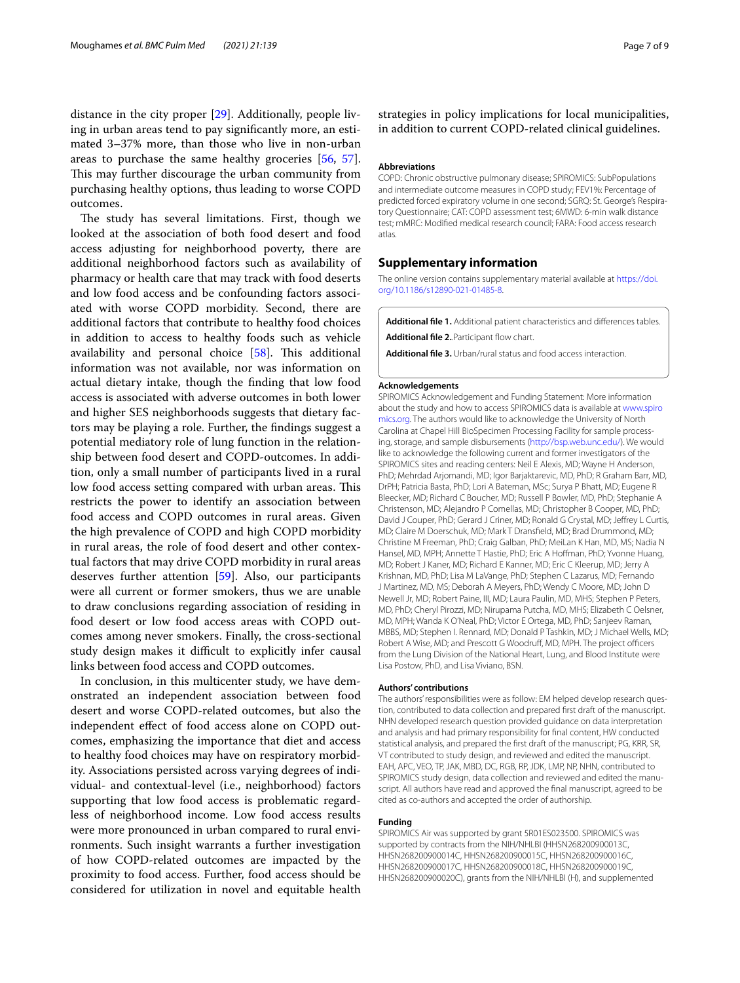distance in the city proper [[29\]](#page-8-0). Additionally, people living in urban areas tend to pay signifcantly more, an estimated 3–37% more, than those who live in non-urban areas to purchase the same healthy groceries [[56,](#page-8-25) [57](#page-8-26)]. This may further discourage the urban community from purchasing healthy options, thus leading to worse COPD outcomes.

The study has several limitations. First, though we looked at the association of both food desert and food access adjusting for neighborhood poverty, there are additional neighborhood factors such as availability of pharmacy or health care that may track with food deserts and low food access and be confounding factors associated with worse COPD morbidity. Second, there are additional factors that contribute to healthy food choices in addition to access to healthy foods such as vehicle availability and personal choice  $[58]$  $[58]$  $[58]$ . This additional information was not available, nor was information on actual dietary intake, though the fnding that low food access is associated with adverse outcomes in both lower and higher SES neighborhoods suggests that dietary factors may be playing a role. Further, the fndings suggest a potential mediatory role of lung function in the relationship between food desert and COPD-outcomes. In addition, only a small number of participants lived in a rural low food access setting compared with urban areas. This restricts the power to identify an association between food access and COPD outcomes in rural areas. Given the high prevalence of COPD and high COPD morbidity in rural areas, the role of food desert and other contextual factors that may drive COPD morbidity in rural areas deserves further attention [\[59](#page-8-28)]. Also, our participants were all current or former smokers, thus we are unable to draw conclusions regarding association of residing in food desert or low food access areas with COPD outcomes among never smokers. Finally, the cross-sectional study design makes it difficult to explicitly infer causal links between food access and COPD outcomes.

In conclusion, in this multicenter study, we have demonstrated an independent association between food desert and worse COPD-related outcomes, but also the independent efect of food access alone on COPD outcomes, emphasizing the importance that diet and access to healthy food choices may have on respiratory morbidity. Associations persisted across varying degrees of individual- and contextual-level (i.e., neighborhood) factors supporting that low food access is problematic regardless of neighborhood income. Low food access results were more pronounced in urban compared to rural environments. Such insight warrants a further investigation of how COPD-related outcomes are impacted by the proximity to food access. Further, food access should be considered for utilization in novel and equitable health strategies in policy implications for local municipalities, in addition to current COPD-related clinical guidelines.

## **Abbreviations**

COPD: Chronic obstructive pulmonary disease; SPIROMICS: SubPopulations and intermediate outcome measures in COPD study; FEV1%: Percentage of predicted forced expiratory volume in one second: SGRO: St. George's Respiratory Questionnaire; CAT: COPD assessment test; 6MWD: 6-min walk distance test; mMRC: Modifed medical research council; FARA: Food access research atlas.

# **Supplementary information**

The online version contains supplementary material available at [https://doi.](https://doi.org/10.1186/s12890-021-01485-8) [org/10.1186/s12890-021-01485-8](https://doi.org/10.1186/s12890-021-01485-8).

<span id="page-6-2"></span>**Additional fle 1.** Additional patient characteristics and diferences tables.

<span id="page-6-1"></span><span id="page-6-0"></span>Additional file 2..Participant flow chart.

**Additional fle 3.** Urban/rural status and food access interaction.

#### **Acknowledgements**

SPIROMICS Acknowledgement and Funding Statement: More information about the study and how to access SPIROMICS data is available at [www.spiro](http://www.spiromics.org) [mics.org.](http://www.spiromics.org) The authors would like to acknowledge the University of North Carolina at Chapel Hill BioSpecimen Processing Facility for sample processing, storage, and sample disbursements ([http://bsp.web.unc.edu/\)](http://bsp.web.unc.edu/). We would like to acknowledge the following current and former investigators of the SPIROMICS sites and reading centers: Neil E Alexis, MD; Wayne H Anderson, PhD; Mehrdad Arjomandi, MD; Igor Barjaktarevic, MD, PhD; R Graham Barr, MD, DrPH; Patricia Basta, PhD; Lori A Bateman, MSc; Surya P Bhatt, MD; Eugene R Bleecker, MD; Richard C Boucher, MD; Russell P Bowler, MD, PhD; Stephanie A Christenson, MD; Alejandro P Comellas, MD; Christopher B Cooper, MD, PhD; David J Couper, PhD; Gerard J Criner, MD; Ronald G Crystal, MD; Jefrey L Curtis, MD; Claire M Doerschuk, MD; Mark T Dransfeld, MD; Brad Drummond, MD; Christine M Freeman, PhD; Craig Galban, PhD; MeiLan K Han, MD, MS; Nadia N Hansel, MD, MPH; Annette T Hastie, PhD; Eric A Hofman, PhD; Yvonne Huang, MD; Robert J Kaner, MD; Richard E Kanner, MD; Eric C Kleerup, MD; Jerry A Krishnan, MD, PhD; Lisa M LaVange, PhD; Stephen C Lazarus, MD; Fernando J Martinez, MD, MS; Deborah A Meyers, PhD; Wendy C Moore, MD; John D Newell Jr, MD; Robert Paine, III, MD; Laura Paulin, MD, MHS; Stephen P Peters, MD, PhD; Cheryl Pirozzi, MD; Nirupama Putcha, MD, MHS; Elizabeth C Oelsner, MD, MPH; Wanda K O'Neal, PhD; Victor E Ortega, MD, PhD; Sanjeev Raman, MBBS, MD; Stephen I. Rennard, MD; Donald P Tashkin, MD; J Michael Wells, MD; Robert A Wise, MD; and Prescott G Woodruff, MD, MPH. The project officers from the Lung Division of the National Heart, Lung, and Blood Institute were Lisa Postow, PhD, and Lisa Viviano, BSN.

#### **Authors' contributions**

The authors' responsibilities were as follow: EM helped develop research question, contributed to data collection and prepared frst draft of the manuscript. NHN developed research question provided guidance on data interpretation and analysis and had primary responsibility for fnal content, HW conducted statistical analysis, and prepared the frst draft of the manuscript; PG, KRR, SR, VT contributed to study design, and reviewed and edited the manuscript. EAH, APC, VEO, TP, JAK, MBD, DC, RGB, RP, JDK, LMP, NP, NHN, contributed to SPIROMICS study design, data collection and reviewed and edited the manuscript. All authors have read and approved the fnal manuscript, agreed to be cited as co-authors and accepted the order of authorship.

#### **Funding**

SPIROMICS Air was supported by grant 5R01ES023500. SPIROMICS was supported by contracts from the NIH/NHLBI (HHSN268200900013C, HHSN268200900014C, HHSN268200900015C, HHSN268200900016C, HHSN268200900017C, HHSN268200900018C, HHSN268200900019C, HHSN268200900020C), grants from the NIH/NHLBI (H), and supplemented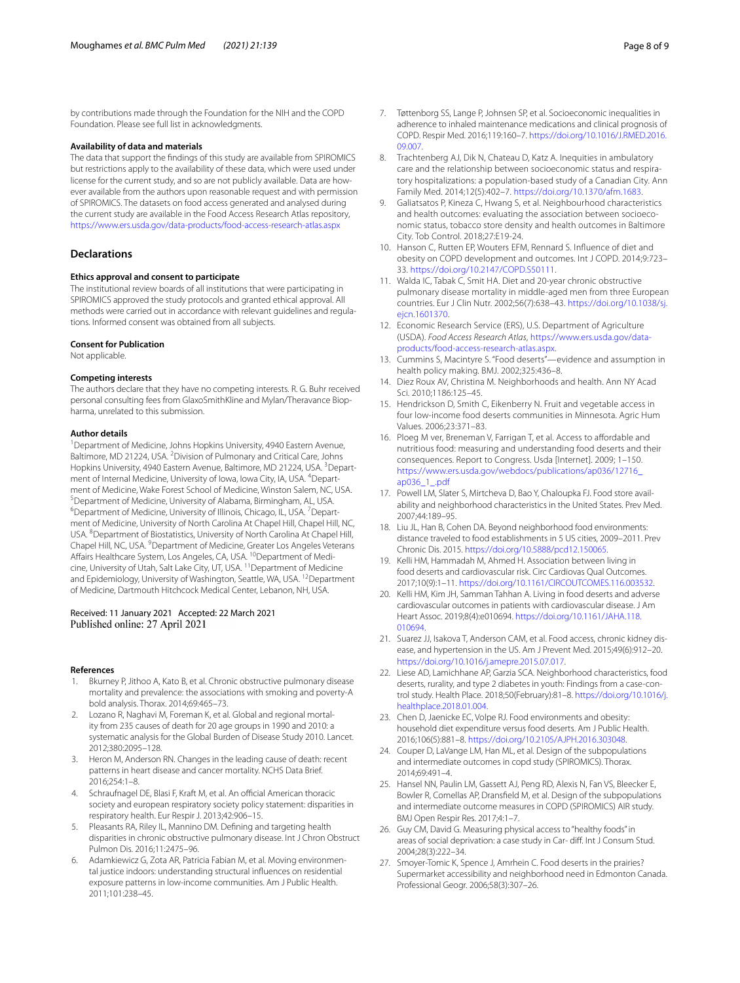by contributions made through the Foundation for the NIH and the COPD Foundation. Please see full list in acknowledgments.

## **Availability of data and materials**

The data that support the fndings of this study are available from SPIROMICS but restrictions apply to the availability of these data, which were used under license for the current study, and so are not publicly available. Data are however available from the authors upon reasonable request and with permission of SPIROMICS. The datasets on food access generated and analysed during the current study are available in the Food Access Research Atlas repository, <https://www.ers.usda.gov/data-products/food-access-research-atlas.aspx>

## **Declarations**

#### **Ethics approval and consent to participate**

The institutional review boards of all institutions that were participating in SPIROMICS approved the study protocols and granted ethical approval. All methods were carried out in accordance with relevant guidelines and regulations. Informed consent was obtained from all subjects.

## **Consent for Publication**

Not applicable.

#### **Competing interests**

The authors declare that they have no competing interests. R. G. Buhr received personal consulting fees from GlaxoSmithKline and Mylan/Theravance Biopharma, unrelated to this submission.

## **Author details**

<sup>1</sup> Department of Medicine, Johns Hopkins University, 4940 Eastern Avenue, Baltimore, MD 21224, USA. <sup>2</sup> Division of Pulmonary and Critical Care, Johns Hopkins University, 4940 Eastern Avenue, Baltimore, MD 21224, USA. <sup>3</sup> Department of Internal Medicine, University of Iowa, Iowa City, IA, USA. <sup>4</sup>Department of Medicine, Wake Forest School of Medicine, Winston Salem, NC, USA. 5 <sup>5</sup> Department of Medicine, University of Alabama, Birmingham, AL, USA. Department of Medicine, University of Illinois, Chicago, IL, USA.<sup>7</sup> Department of Medicine, University of North Carolina At Chapel Hill, Chapel Hill, NC, USA. <sup>8</sup> Department of Biostatistics, University of North Carolina At Chapel Hill, Chapel Hill, NC, USA. <sup>9</sup> Department of Medicine, Greater Los Angeles Veterans Affairs Healthcare System, Los Angeles, CA, USA. <sup>10</sup>Department of Medicine, University of Utah, Salt Lake City, UT, USA. 11Department of Medicine and Epidemiology, University of Washington, Seattle, WA, USA. <sup>12</sup>Department of Medicine, Dartmouth Hitchcock Medical Center, Lebanon, NH, USA.

# Received: 11 January 2021 Accepted: 22 March 2021 Published online: 27 April 2021

#### **References**

- <span id="page-7-0"></span>1. Bkurney P, Jithoo A, Kato B, et al. Chronic obstructive pulmonary disease mortality and prevalence: the associations with smoking and poverty-A bold analysis. Thorax. 2014;69:465–73.
- 2. Lozano R, Naghavi M, Foreman K, et al. Global and regional mortality from 235 causes of death for 20 age groups in 1990 and 2010: a systematic analysis for the Global Burden of Disease Study 2010. Lancet. 2012;380:2095–128.
- <span id="page-7-1"></span>3. Heron M, Anderson RN. Changes in the leading cause of death: recent patterns in heart disease and cancer mortality. NCHS Data Brief. 2016;254:1–8.
- <span id="page-7-2"></span>4. Schraufnagel DE, Blasi F, Kraft M, et al. An official American thoracic society and european respiratory society policy statement: disparities in respiratory health. Eur Respir J. 2013;42:906–15.
- 5. Pleasants RA, Riley IL, Mannino DM. Defning and targeting health disparities in chronic obstructive pulmonary disease. Int J Chron Obstruct Pulmon Dis. 2016;11:2475–96.
- 6. Adamkiewicz G, Zota AR, Patricia Fabian M, et al. Moving environmental justice indoors: understanding structural infuences on residential exposure patterns in low-income communities. Am J Public Health. 2011;101:238–45.
- 7. Tøttenborg SS, Lange P, Johnsen SP, et al. Socioeconomic inequalities in adherence to inhaled maintenance medications and clinical prognosis of COPD. Respir Med. 2016;119:160–7. [https://doi.org/10.1016/J.RMED.2016.](https://doi.org/10.1016/J.RMED.2016.09.007) [09.007](https://doi.org/10.1016/J.RMED.2016.09.007).
- 8. Trachtenberg AJ, Dik N, Chateau D, Katz A. Inequities in ambulatory care and the relationship between socioeconomic status and respiratory hospitalizations: a population-based study of a Canadian City. Ann Family Med. 2014;12(5):402–7. <https://doi.org/10.1370/afm.1683>.
- <span id="page-7-3"></span>Galiatsatos P, Kineza C, Hwang S, et al. Neighbourhood characteristics and health outcomes: evaluating the association between socioeconomic status, tobacco store density and health outcomes in Baltimore City. Tob Control. 2018;27:E19-24.
- <span id="page-7-4"></span>10. Hanson C, Rutten EP, Wouters EFM, Rennard S. Infuence of diet and obesity on COPD development and outcomes. Int J COPD. 2014;9:723– 33. [https://doi.org/10.2147/COPD.S50111.](https://doi.org/10.2147/COPD.S50111)
- <span id="page-7-5"></span>11. Walda IC, Tabak C, Smit HA. Diet and 20-year chronic obstructive pulmonary disease mortality in middle-aged men from three European countries. Eur J Clin Nutr. 2002;56(7):638–43. [https://doi.org/10.1038/sj.](https://doi.org/10.1038/sj.ejcn.1601370) [ejcn.1601370.](https://doi.org/10.1038/sj.ejcn.1601370)
- <span id="page-7-6"></span>12. Economic Research Service (ERS), U.S. Department of Agriculture (USDA). *Food Access Research Atlas*, [https://www.ers.usda.gov/data](https://www.ers.usda.gov/data-products/food-access-research-atlas.aspx) [products/food-access-research-atlas.aspx.](https://www.ers.usda.gov/data-products/food-access-research-atlas.aspx)
- 13. Cummins S, Macintyre S. "Food deserts"—evidence and assumption in health policy making. BMJ. 2002;325:436–8.
- 14. Diez Roux AV, Christina M. Neighborhoods and health. Ann NY Acad Sci. 2010;1186:125–45.
- 15. Hendrickson D, Smith C, Eikenberry N. Fruit and vegetable access in four low-income food deserts communities in Minnesota. Agric Hum Values. 2006;23:371–83.
- <span id="page-7-7"></span>16. Ploeg M ver, Breneman V, Farrigan T, et al. Access to affordable and nutritious food: measuring and understanding food deserts and their consequences. Report to Congress. Usda [Internet]. 2009; 1–150. [https://www.ers.usda.gov/webdocs/publications/ap036/12716\\_](https://www.ers.usda.gov/webdocs/publications/ap036/12716_ap036_1_.pdf) [ap036\\_1\\_.pdf](https://www.ers.usda.gov/webdocs/publications/ap036/12716_ap036_1_.pdf)
- <span id="page-7-8"></span>17. Powell LM, Slater S, Mirtcheva D, Bao Y, Chaloupka FJ. Food store availability and neighborhood characteristics in the United States. Prev Med. 2007;44:189–95.
- <span id="page-7-9"></span>18. Liu JL, Han B, Cohen DA. Beyond neighborhood food environments: distance traveled to food establishments in 5 US cities, 2009–2011. Prev Chronic Dis. 2015.<https://doi.org/10.5888/pcd12.150065>.
- <span id="page-7-10"></span>19. Kelli HM, Hammadah M, Ahmed H. Association between living in food deserts and cardiovascular risk. Circ Cardiovas Qual Outcomes. 2017;10(9):1–11. [https://doi.org/10.1161/CIRCOUTCOMES.116.003532.](https://doi.org/10.1161/CIRCOUTCOMES.116.003532)
- <span id="page-7-17"></span>20. Kelli HM, Kim JH, Samman Tahhan A. Living in food deserts and adverse cardiovascular outcomes in patients with cardiovascular disease. J Am Heart Assoc. 2019;8(4):e010694. [https://doi.org/10.1161/JAHA.118.](https://doi.org/10.1161/JAHA.118.010694) [010694.](https://doi.org/10.1161/JAHA.118.010694)
- <span id="page-7-14"></span>21. Suarez JJ, Isakova T, Anderson CAM, et al. Food access, chronic kidney disease, and hypertension in the US. Am J Prevent Med. 2015;49(6):912–20. <https://doi.org/10.1016/j.amepre.2015.07.017>.
- <span id="page-7-16"></span>22. Liese AD, Lamichhane AP, Garzia SCA. Neighborhood characteristics, food deserts, rurality, and type 2 diabetes in youth: Findings from a case-control study. Health Place. 2018;50(February):81–8. [https://doi.org/10.1016/j.](https://doi.org/10.1016/j.healthplace.2018.01.004) [healthplace.2018.01.004.](https://doi.org/10.1016/j.healthplace.2018.01.004)
- <span id="page-7-11"></span>23. Chen D, Jaenicke EC, Volpe RJ. Food environments and obesity: household diet expenditure versus food deserts. Am J Public Health. 2016;106(5):881–8. [https://doi.org/10.2105/AJPH.2016.303048.](https://doi.org/10.2105/AJPH.2016.303048)
- <span id="page-7-12"></span>24. Couper D, LaVange LM, Han ML, et al. Design of the subpopulations and intermediate outcomes in copd study (SPIROMICS). Thorax. 2014;69:491–4.
- <span id="page-7-13"></span>25. Hansel NN, Paulin LM, Gassett AJ, Peng RD, Alexis N, Fan VS, Bleecker E, Bowler R, Comellas AP, Dransfeld M, et al. Design of the subpopulations and intermediate outcome measures in COPD (SPIROMICS) AIR study. BMJ Open Respir Res. 2017;4:1–7.
- <span id="page-7-15"></span>26. Guy CM, David G. Measuring physical access to "healthy foods" in areas of social deprivation: a case study in Car- dif. Int J Consum Stud. 2004;28(3):222–34.
- 27. Smoyer-Tomic K, Spence J, Amrhein C. Food deserts in the prairies? Supermarket accessibility and neighborhood need in Edmonton Canada. Professional Geogr. 2006;58(3):307–26.